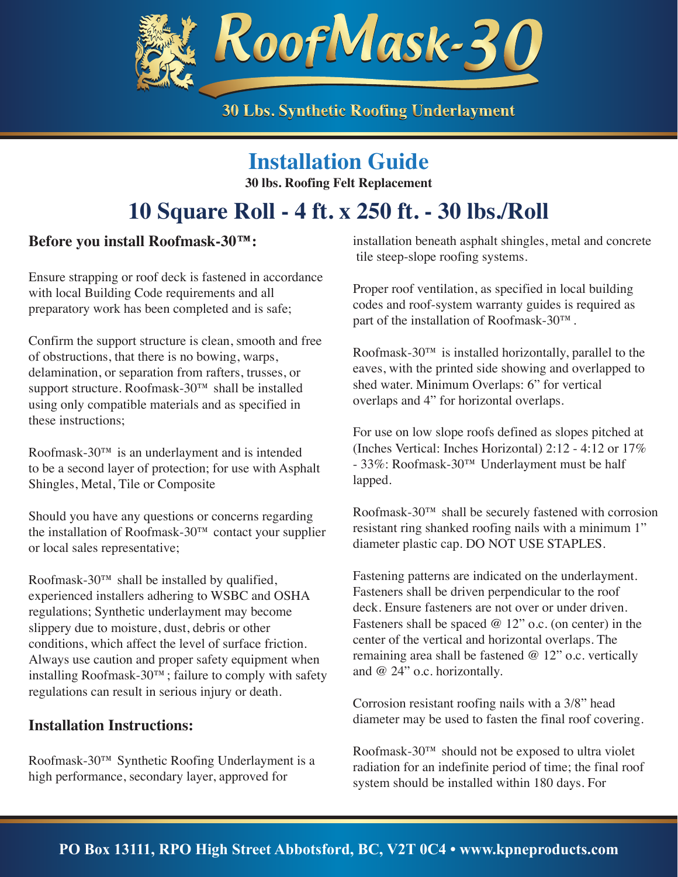

## **Installation Guide**

**30 lbs. Roofing Felt Replacement**

# **10 Square Roll - 4 ft. x 250 ft. - 30 lbs./Roll**

### **Before you install Roofmask-30™:**

Ensure strapping or roof deck is fastened in accordance with local Building Code requirements and all preparatory work has been completed and is safe;

Confirm the support structure is clean, smooth and free of obstructions, that there is no bowing, warps, delamination, or separation from rafters, trusses, or support structure. Roofmask-30™ shall be installed using only compatible materials and as specified in these instructions;

Roofmask-30™ is an underlayment and is intended to be a second layer of protection; for use with Asphalt Shingles, Metal, Tile or Composite

Should you have any questions or concerns regarding the installation of Roofmask-30™ contact your supplier or local sales representative;

Roofmask-30™ shall be installed by qualified, experienced installers adhering to WSBC and OSHA regulations; Synthetic underlayment may become slippery due to moisture, dust, debris or other conditions, which affect the level of surface friction. Always use caution and proper safety equipment when installing Roofmask-30™; failure to comply with safety regulations can result in serious injury or death.

#### **Installation Instructions:**

Roofmask-30™ Synthetic Roofing Underlayment is a high performance, secondary layer, approved for

installation beneath asphalt shingles, metal and concrete tile steep-slope roofing systems.

Proper roof ventilation, as specified in local building codes and roof-system warranty guides is required as part of the installation of Roofmask-30™.

Roofmask-30 $^{TM}$  is installed horizontally, parallel to the eaves, with the printed side showing and overlapped to shed water. Minimum Overlaps: 6" for vertical overlaps and 4" for horizontal overlaps.

For use on low slope roofs defined as slopes pitched at (Inches Vertical: Inches Horizontal) 2:12 - 4:12 or 17% - 33%: Roofmask-30™ Underlayment must be half lapped.

Roofmask-30™ shall be securely fastened with corrosion resistant ring shanked roofing nails with a minimum 1" diameter plastic cap. DO NOT USE STAPLES.

Fastening patterns are indicated on the underlayment. Fasteners shall be driven perpendicular to the roof deck. Ensure fasteners are not over or under driven. Fasteners shall be spaced  $@ 12"$  o.c. (on center) in the center of the vertical and horizontal overlaps. The remaining area shall be fastened @ 12" o.c. vertically and @ 24" o.c. horizontally.

Corrosion resistant roofing nails with a 3/8" head diameter may be used to fasten the final roof covering.

Roofmask-30™ should not be exposed to ultra violet radiation for an indefinite period of time; the final roof system should be installed within 180 days. For